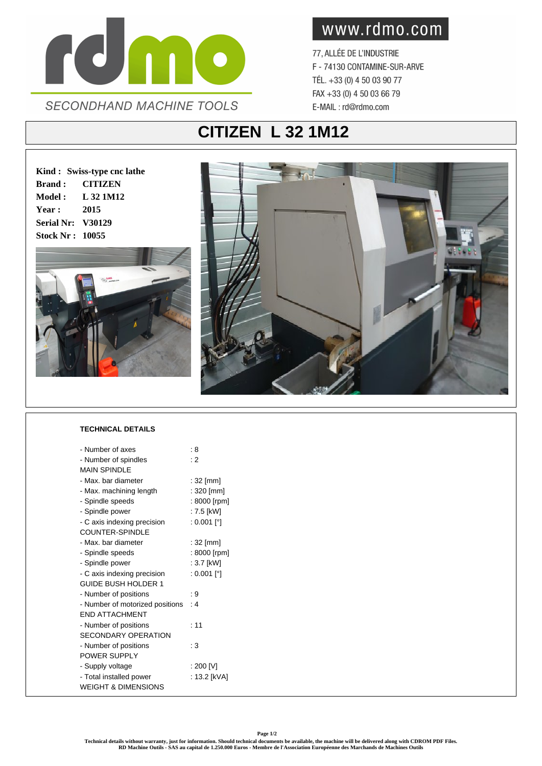

www.rdmo.com

77, ALLÉE DE L'INDUSTRIE F - 74130 CONTAMINE-SUR-ARVE TÉL. +33 (0) 4 50 03 90 77 FAX +33 (0) 4 50 03 66 79 E-MAIL: rd@rdmo.com

## **CITIZEN L 32 1M12**

**Kind : Swiss-type cnc lathe Brand : CITIZEN Model : L 32 1M12 Year : 2015 Serial Nr: V30129 Stock Nr : 10055**





## **TECHNICAL DETAILS**

| - Number of axes                | : 8          |
|---------------------------------|--------------|
| - Number of spindles            | : 2          |
| <b>MAIN SPINDI F</b>            |              |
| - Max, bar diameter             | $: 32$ [mm]  |
| - Max. machining length         | : 320 [mm]   |
| - Spindle speeds                | : 8000 [rpm] |
| - Spindle power                 | : 7.5 [kW]   |
| - C axis indexing precision     | : 0.001 [°]  |
| COUNTER-SPINDLE                 |              |
| - Max. bar diameter             | $: 32$ [mm]  |
| - Spindle speeds                | : 8000 [rpm] |
| - Spindle power                 | : 3.7 [kW]   |
| - C axis indexing precision     | : 0.001 [°]  |
| <b>GUIDE BUSH HOLDER 1</b>      |              |
| - Number of positions           | : 9          |
| - Number of motorized positions | : 4          |
| <b>FND ATTACHMENT</b>           |              |
| - Number of positions           | : 11         |
| SECONDARY OPERATION             |              |
| - Number of positions           | : 3          |
| POWER SUPPLY                    |              |
| - Supply voltage                | : 200 [V]    |
| - Total installed power         | : 13.2 [kVA] |
| <b>WEIGHT &amp; DIMENSIONS</b>  |              |
|                                 |              |

**Technical details without warranty, just for information. Should technical documents be available, the machine will be delivered along with CDROM PDF Files. RD Machine Outils - SAS au capital de 1.250.000 Euros - Membre de l'Association Européenne des Marchands de Machines Outils**

**Page 1/2**